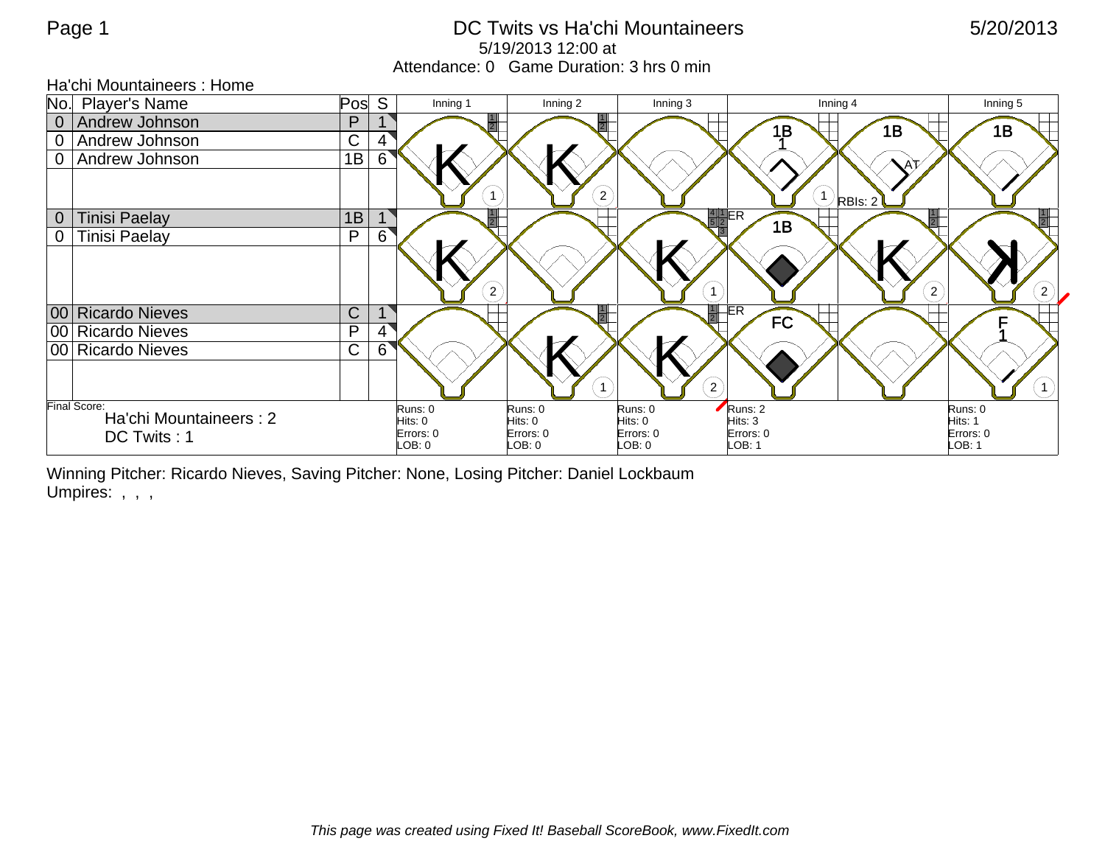## Page 1 **DC Twits vs Ha'chi Mountaineers** 5/20/2013 5/19/2013 12:00 at Attendance: 0 Game Duration: 3 hrs 0 min

|                | Ha'chi Mountaineers: Home                     |              |   |                      |                      |                      |                              |                                              |  |
|----------------|-----------------------------------------------|--------------|---|----------------------|----------------------|----------------------|------------------------------|----------------------------------------------|--|
|                | No. Player's Name                             | Pos          | S | Inning 1             | Inning 2             | Inning 3             | Inning 4                     | Inning 5                                     |  |
| $\overline{0}$ | Andrew Johnson                                | $\mathsf{P}$ |   |                      |                      |                      | 1B                           | 1B<br>1B                                     |  |
| $\overline{0}$ | Andrew Johnson                                | $\mathsf{C}$ | 4 |                      |                      |                      |                              |                                              |  |
| $\overline{0}$ | Andrew Johnson                                | 1B           | 6 |                      |                      |                      |                              |                                              |  |
|                |                                               |              |   |                      |                      | $\left( 2\right)$    |                              | $\setminus$ <sup>1</sup> ) RBIs: 2'          |  |
|                |                                               | 1B           |   |                      |                      |                      | $rac{4}{5}$ $rac{1}{2}$ $ER$ |                                              |  |
| $\overline{0}$ | Tinisi Paelay                                 |              |   |                      |                      |                      | 1B                           | $\frac{1}{2}$                                |  |
| $\overline{0}$ | Tinisi Paelay                                 | $\mathsf{P}$ | 6 |                      |                      |                      |                              |                                              |  |
|                |                                               |              |   | $2^{7}$              |                      |                      |                              | $\left  \mathbf{2} \right\rangle$<br>$2^{7}$ |  |
|                | 00 Ricardo Nieves                             | $\mathsf{C}$ |   |                      |                      |                      | $1$ ER<br><b>FC</b>          |                                              |  |
|                | 00 Ricardo Nieves                             | P            | 4 |                      |                      |                      |                              |                                              |  |
|                | 00 Ricardo Nieves                             | $\mathsf{C}$ | 6 |                      |                      |                      |                              |                                              |  |
|                |                                               |              |   |                      |                      |                      | $2^{7}$                      |                                              |  |
|                | <b>Final Score:</b><br>Ha'chi Mountaineers: 2 |              |   | Runs: 0              | Runs: 0              | Runs: 0              | Runs: 2                      | Runs: 0                                      |  |
|                |                                               |              |   | Hits: 0<br>Errors: 0 | Hits: 0<br>Errors: 0 | Hits: 0<br>Errors: 0 | Hits: 3<br>Errors: 0         | Hits: 1<br>Errors: 0                         |  |
|                | DC Twits: 1                                   |              |   | LOB: 0               | LOB: 0               | DB:0                 | LOB: 1                       | LOB: 1                                       |  |

Winning Pitcher: Ricardo Nieves, Saving Pitcher: None, Losing Pitcher: Daniel Lockbaum Umpires: , , ,